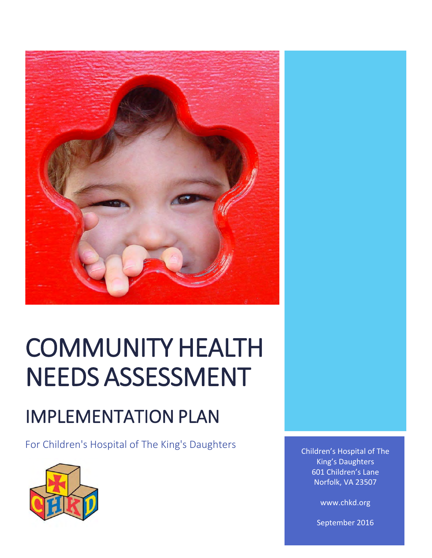

# COMMUNITY HEALTH NEEDS ASSESSMENT

# IMPLEMENTATION PLAN

For Children's Hospital of The King's Daughters



Children's Hospital of The King's Daughters 601 Children's Lane Norfolk, VA 23507

www.chkd.org

September 2016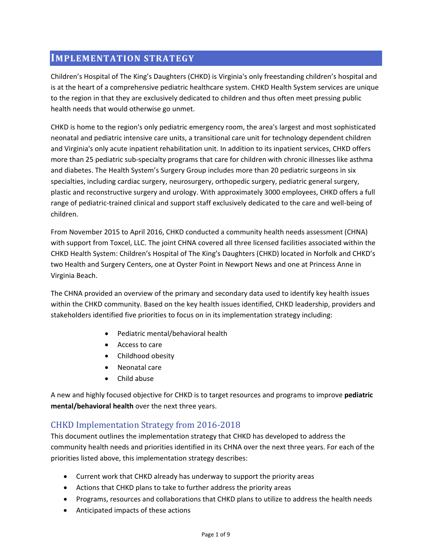# **IMPLEMENTATION STRATEGY**

Children's Hospital of The King's Daughters (CHKD) is Virginia's only freestanding children's hospital and is at the heart of a comprehensive pediatric healthcare system. CHKD Health System services are unique to the region in that they are exclusively dedicated to children and thus often meet pressing public health needs that would otherwise go unmet.

CHKD is home to the region's only pediatric emergency room, the area's largest and most sophisticated neonatal and pediatric intensive care units, a transitional care unit for technology dependent children and Virginia's only acute inpatient rehabilitation unit. In addition to its inpatient services, CHKD offers more than 25 pediatric sub‐specialty programs that care for children with chronic illnesses like asthma and diabetes. The Health System's Surgery Group includes more than 20 pediatric surgeons in six specialties, including cardiac surgery, neurosurgery, orthopedic surgery, pediatric general surgery, plastic and reconstructive surgery and urology. With approximately 3000 employees, CHKD offers a full range of pediatric-trained clinical and support staff exclusively dedicated to the care and well-being of children.

From November 2015 to April 2016, CHKD conducted a community health needs assessment (CHNA) with support from Toxcel, LLC. The joint CHNA covered all three licensed facilities associated within the CHKD Health System: Children's Hospital of The King's Daughters (CHKD) located in Norfolk and CHKD's two Health and Surgery Centers, one at Oyster Point in Newport News and one at Princess Anne in Virginia Beach.

The CHNA provided an overview of the primary and secondary data used to identify key health issues within the CHKD community. Based on the key health issues identified, CHKD leadership, providers and stakeholders identified five priorities to focus on in its implementation strategy including:

- Pediatric mental/behavioral health
- Access to care
- Childhood obesity
- Neonatal care
- Child abuse

A new and highly focused objective for CHKD is to target resources and programs to improve **pediatric mental/behavioral health** over the next three years.

## CHKD Implementation Strategy from 2016-2018

This document outlines the implementation strategy that CHKD has developed to address the community health needs and priorities identified in its CHNA over the next three years. For each of the priorities listed above, this implementation strategy describes:

- Current work that CHKD already has underway to support the priority areas
- Actions that CHKD plans to take to further address the priority areas
- Programs, resources and collaborations that CHKD plans to utilize to address the health needs
- Anticipated impacts of these actions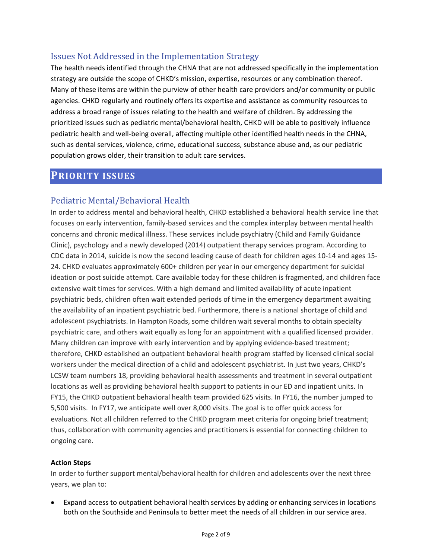# Issues Not Addressed in the Implementation Strategy

The health needs identified through the CHNA that are not addressed specifically in the implementation strategy are outside the scope of CHKD's mission, expertise, resources or any combination thereof. Many of these items are within the purview of other health care providers and/or community or public agencies. CHKD regularly and routinely offers its expertise and assistance as community resources to address a broad range of issues relating to the health and welfare of children. By addressing the prioritized issues such as pediatric mental/behavioral health, CHKD will be able to positively influence pediatric health and well‐being overall, affecting multiple other identified health needs in the CHNA, such as dental services, violence, crime, educational success, substance abuse and, as our pediatric population grows older, their transition to adult care services.

# **PRIORITY ISSUES**

# Pediatric Mental/Behavioral Health

In order to address mental and behavioral health, CHKD established a behavioral health service line that focuses on early intervention, family‐based services and the complex interplay between mental health concerns and chronic medical illness. These services include psychiatry (Child and Family Guidance Clinic), psychology and a newly developed (2014) outpatient therapy services program. According to CDC data in 2014, suicide is now the second leading cause of death for children ages 10‐14 and ages 15‐ 24. CHKD evaluates approximately 600+ children per year in our emergency department for suicidal ideation or post suicide attempt. Care available today for these children is fragmented, and children face extensive wait times for services. With a high demand and limited availability of acute inpatient psychiatric beds, children often wait extended periods of time in the emergency department awaiting the availability of an inpatient psychiatric bed. Furthermore, there is a national shortage of child and adolescent psychiatrists. In Hampton Roads, some children wait several months to obtain specialty psychiatric care, and others wait equally as long for an appointment with a qualified licensed provider. Many children can improve with early intervention and by applying evidence-based treatment; therefore, CHKD established an outpatient behavioral health program staffed by licensed clinical social workers under the medical direction of a child and adolescent psychiatrist. In just two years, CHKD's LCSW team numbers 18, providing behavioral health assessments and treatment in several outpatient locations as well as providing behavioral health support to patients in our ED and inpatient units. In FY15, the CHKD outpatient behavioral health team provided 625 visits. In FY16, the number jumped to 5,500 visits. In FY17, we anticipate well over 8,000 visits. The goal is to offer quick access for evaluations. Not all children referred to the CHKD program meet criteria for ongoing brief treatment; thus, collaboration with community agencies and practitioners is essential for connecting children to ongoing care.

#### **Action Steps**

In order to further support mental/behavioral health for children and adolescents over the next three years, we plan to:

 Expand access to outpatient behavioral health services by adding or enhancing services in locations both on the Southside and Peninsula to better meet the needs of all children in our service area.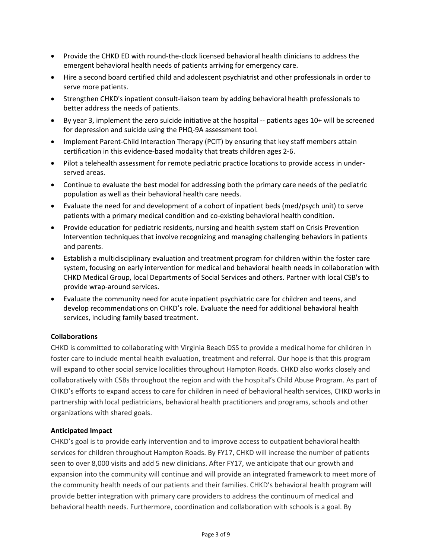- Provide the CHKD ED with round-the-clock licensed behavioral health clinicians to address the emergent behavioral health needs of patients arriving for emergency care.
- Hire a second board certified child and adolescent psychiatrist and other professionals in order to serve more patients.
- Strengthen CHKD's inpatient consult-liaison team by adding behavioral health professionals to better address the needs of patients.
- By year 3, implement the zero suicide initiative at the hospital ‐‐ patients ages 10+ will be screened for depression and suicide using the PHQ‐9A assessment tool.
- Implement Parent-Child Interaction Therapy (PCIT) by ensuring that key staff members attain certification in this evidence‐based modality that treats children ages 2‐6.
- Pilot a telehealth assessment for remote pediatric practice locations to provide access in underserved areas.
- Continue to evaluate the best model for addressing both the primary care needs of the pediatric population as well as their behavioral health care needs.
- Evaluate the need for and development of a cohort of inpatient beds (med/psych unit) to serve patients with a primary medical condition and co‐existing behavioral health condition.
- Provide education for pediatric residents, nursing and health system staff on Crisis Prevention Intervention techniques that involve recognizing and managing challenging behaviors in patients and parents.
- Establish a multidisciplinary evaluation and treatment program for children within the foster care system, focusing on early intervention for medical and behavioral health needs in collaboration with CHKD Medical Group, local Departments of Social Services and others. Partner with local CSB's to provide wrap‐around services.
- Evaluate the community need for acute inpatient psychiatric care for children and teens, and develop recommendations on CHKD's role. Evaluate the need for additional behavioral health services, including family based treatment.

#### **Collaborations**

CHKD is committed to collaborating with Virginia Beach DSS to provide a medical home for children in foster care to include mental health evaluation, treatment and referral. Our hope is that this program will expand to other social service localities throughout Hampton Roads. CHKD also works closely and collaboratively with CSBs throughout the region and with the hospital's Child Abuse Program. As part of CHKD's efforts to expand access to care for children in need of behavioral health services, CHKD works in partnership with local pediatricians, behavioral health practitioners and programs, schools and other organizations with shared goals.

#### **Anticipated Impact**

CHKD's goal is to provide early intervention and to improve access to outpatient behavioral health services for children throughout Hampton Roads. By FY17, CHKD will increase the number of patients seen to over 8,000 visits and add 5 new clinicians. After FY17, we anticipate that our growth and expansion into the community will continue and will provide an integrated framework to meet more of the community health needs of our patients and their families. CHKD's behavioral health program will provide better integration with primary care providers to address the continuum of medical and behavioral health needs. Furthermore, coordination and collaboration with schools is a goal. By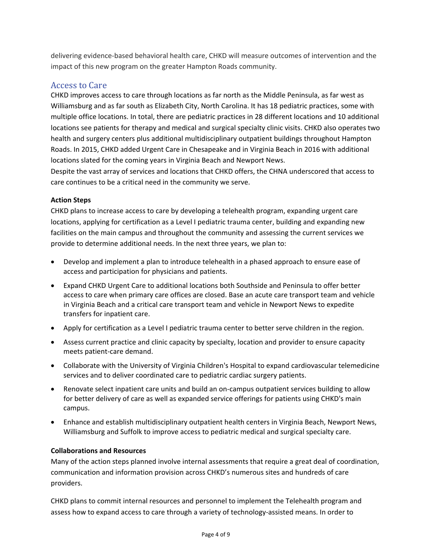delivering evidence‐based behavioral health care, CHKD will measure outcomes of intervention and the impact of this new program on the greater Hampton Roads community.

# Access to Care

CHKD improves access to care through locations as far north as the Middle Peninsula, as far west as Williamsburg and as far south as Elizabeth City, North Carolina. It has 18 pediatric practices, some with multiple office locations. In total, there are pediatric practices in 28 different locations and 10 additional locations see patients for therapy and medical and surgical specialty clinic visits. CHKD also operates two health and surgery centers plus additional multidisciplinary outpatient buildings throughout Hampton Roads. In 2015, CHKD added Urgent Care in Chesapeake and in Virginia Beach in 2016 with additional locations slated for the coming years in Virginia Beach and Newport News.

Despite the vast array of services and locations that CHKD offers, the CHNA underscored that access to care continues to be a critical need in the community we serve.

#### **Action Steps**

CHKD plans to increase access to care by developing a telehealth program, expanding urgent care locations, applying for certification as a Level I pediatric trauma center, building and expanding new facilities on the main campus and throughout the community and assessing the current services we provide to determine additional needs. In the next three years, we plan to:

- Develop and implement a plan to introduce telehealth in a phased approach to ensure ease of access and participation for physicians and patients.
- Expand CHKD Urgent Care to additional locations both Southside and Peninsula to offer better access to care when primary care offices are closed. Base an acute care transport team and vehicle in Virginia Beach and a critical care transport team and vehicle in Newport News to expedite transfers for inpatient care.
- Apply for certification as a Level I pediatric trauma center to better serve children in the region.
- Assess current practice and clinic capacity by specialty, location and provider to ensure capacity meets patient‐care demand.
- Collaborate with the University of Virginia Children's Hospital to expand cardiovascular telemedicine services and to deliver coordinated care to pediatric cardiac surgery patients.
- Renovate select inpatient care units and build an on-campus outpatient services building to allow for better delivery of care as well as expanded service offerings for patients using CHKD's main campus.
- Enhance and establish multidisciplinary outpatient health centers in Virginia Beach, Newport News, Williamsburg and Suffolk to improve access to pediatric medical and surgical specialty care.

#### **Collaborations and Resources**

Many of the action steps planned involve internal assessments that require a great deal of coordination, communication and information provision across CHKD's numerous sites and hundreds of care providers.

CHKD plans to commit internal resources and personnel to implement the Telehealth program and assess how to expand access to care through a variety of technology-assisted means. In order to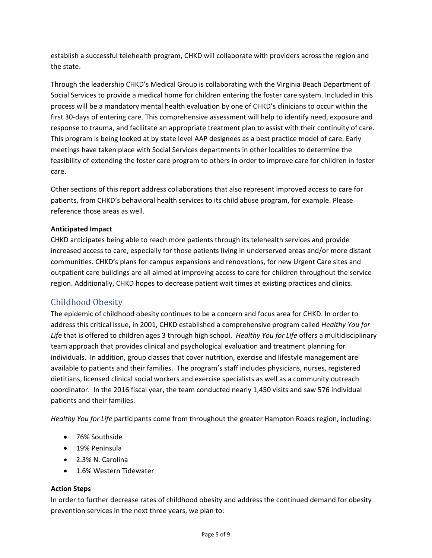establish a successful telehealth program, CHKD will collaborate with providers across the region and the state.

Through the leadership CHKD's Medical Group is collaborating with the Virginia Beach Department of Social Services to provide a medical home for children entering the foster care system. Included in this process will be a mandatory mental health evaluation by one of CHKD's clinicians to occur within the first 30‐days of entering care. This comprehensive assessment will help to identify need, exposure and response to trauma, and facilitate an appropriate treatment plan to assist with their continuity of care. This program is being looked at by state level AAP designees as a best practice model of care. Early meetings have taken place with Social Services departments in other localities to determine the feasibility of extending the foster care program to others in order to improve care for children in foster care.

Other sections of this report address collaborations that also represent improved access to care for patients, from CHKD's behavioral health services to its child abuse program, for example. Please reference those areas as well.

#### **Anticipated Impact**

CHKD anticipates being able to reach more patients through its telehealth services and provide increased access to care, especially for those patients living in underserved areas and/or more distant communities. CHKD's plans for campus expansions and renovations, for new Urgent Care sites and outpatient care buildings are all aimed at improving access to care for children throughout the service region. Additionally, CHKD hopes to decrease patient wait times at existing practices and clinics.

### Childhood Obesity

The epidemic of childhood obesity continues to be a concern and focus area for CHKD. In order to address this critical issue, in 2001, CHKD established a comprehensive program called *Healthy You for Life* that is offered to children ages 3 through high school. *Healthy You for Life* offers a multidisciplinary team approach that provides clinical and psychological evaluation and treatment planning for individuals. In addition, group classes that cover nutrition, exercise and lifestyle management are available to patients and their families. The program's staff includes physicians, nurses, registered dietitians, licensed clinical social workers and exercise specialists as well as a community outreach coordinator. In the 2016 fiscal year, the team conducted nearly 1,450 visits and saw 576 individual patients and their families.

*Healthy You for Life* participants come from throughout the greater Hampton Roads region, including:

- 76% Southside
- 19% Peninsula
- 2.3% N. Carolina
- 1.6% Western Tidewater

#### **Action Steps**

In order to further decrease rates of childhood obesity and address the continued demand for obesity prevention services in the next three years, we plan to: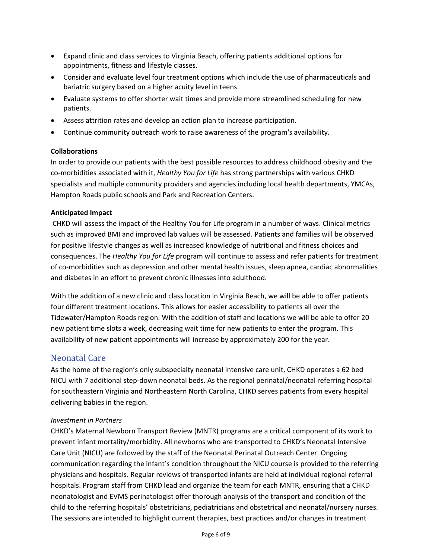- Expand clinic and class services to Virginia Beach, offering patients additional options for appointments, fitness and lifestyle classes.
- Consider and evaluate level four treatment options which include the use of pharmaceuticals and bariatric surgery based on a higher acuity level in teens.
- Evaluate systems to offer shorter wait times and provide more streamlined scheduling for new patients.
- Assess attrition rates and develop an action plan to increase participation.
- Continue community outreach work to raise awareness of the program's availability.

#### **Collaborations**

In order to provide our patients with the best possible resources to address childhood obesity and the co‐morbidities associated with it, *Healthy You for Life* has strong partnerships with various CHKD specialists and multiple community providers and agencies including local health departments, YMCAs, Hampton Roads public schools and Park and Recreation Centers.

#### **Anticipated Impact**

CHKD will assess the impact of the Healthy You for Life program in a number of ways. Clinical metrics such as improved BMI and improved lab values will be assessed. Patients and families will be observed for positive lifestyle changes as well as increased knowledge of nutritional and fitness choices and consequences. The *Healthy You for Life* program will continue to assess and refer patients for treatment of co-morbidities such as depression and other mental health issues, sleep apnea, cardiac abnormalities and diabetes in an effort to prevent chronic illnesses into adulthood.

With the addition of a new clinic and class location in Virginia Beach, we will be able to offer patients four different treatment locations. This allows for easier accessibility to patients all over the Tidewater/Hampton Roads region. With the addition of staff and locations we will be able to offer 20 new patient time slots a week, decreasing wait time for new patients to enter the program. This availability of new patient appointments will increase by approximately 200 for the year.

#### Neonatal Care

As the home of the region's only subspecialty neonatal intensive care unit, CHKD operates a 62 bed NICU with 7 additional step‐down neonatal beds. As the regional perinatal/neonatal referring hospital for southeastern Virginia and Northeastern North Carolina, CHKD serves patients from every hospital delivering babies in the region.

#### *Investment in Partners*

CHKD's Maternal Newborn Transport Review (MNTR) programs are a critical component of its work to prevent infant mortality/morbidity. All newborns who are transported to CHKD's Neonatal Intensive Care Unit (NICU) are followed by the staff of the Neonatal Perinatal Outreach Center. Ongoing communication regarding the infant's condition throughout the NICU course is provided to the referring physicians and hospitals. Regular reviews of transported infants are held at individual regional referral hospitals. Program staff from CHKD lead and organize the team for each MNTR, ensuring that a CHKD neonatologist and EVMS perinatologist offer thorough analysis of the transport and condition of the child to the referring hospitals' obstetricians, pediatricians and obstetrical and neonatal/nursery nurses. The sessions are intended to highlight current therapies, best practices and/or changes in treatment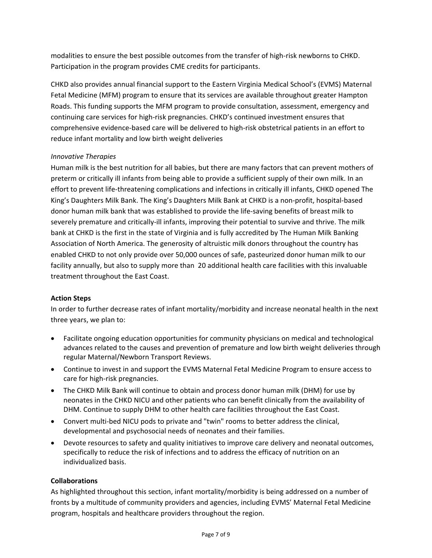modalities to ensure the best possible outcomes from the transfer of high‐risk newborns to CHKD. Participation in the program provides CME credits for participants.

CHKD also provides annual financial support to the Eastern Virginia Medical School's (EVMS) Maternal Fetal Medicine (MFM) program to ensure that its services are available throughout greater Hampton Roads. This funding supports the MFM program to provide consultation, assessment, emergency and continuing care services for high‐risk pregnancies. CHKD's continued investment ensures that comprehensive evidence-based care will be delivered to high-risk obstetrical patients in an effort to reduce infant mortality and low birth weight deliveries

#### *Innovative Therapies*

Human milk is the best nutrition for all babies, but there are many factors that can prevent mothers of preterm or critically ill infants from being able to provide a sufficient supply of their own milk. In an effort to prevent life‐threatening complications and infections in critically ill infants, CHKD opened The King's Daughters Milk Bank. The King's Daughters Milk Bank at CHKD is a non‐profit, hospital‐based donor human milk bank that was established to provide the life‐saving benefits of breast milk to severely premature and critically‐ill infants, improving their potential to survive and thrive. The milk bank at CHKD is the first in the state of Virginia and is fully accredited by The Human Milk Banking Association of North America. The generosity of altruistic milk donors throughout the country has enabled CHKD to not only provide over 50,000 ounces of safe, pasteurized donor human milk to our facility annually, but also to supply more than 20 additional health care facilities with this invaluable treatment throughout the East Coast.

#### **Action Steps**

In order to further decrease rates of infant mortality/morbidity and increase neonatal health in the next three years, we plan to:

- Facilitate ongoing education opportunities for community physicians on medical and technological advances related to the causes and prevention of premature and low birth weight deliveries through regular Maternal/Newborn Transport Reviews.
- Continue to invest in and support the EVMS Maternal Fetal Medicine Program to ensure access to care for high‐risk pregnancies.
- The CHKD Milk Bank will continue to obtain and process donor human milk (DHM) for use by neonates in the CHKD NICU and other patients who can benefit clinically from the availability of DHM. Continue to supply DHM to other health care facilities throughout the East Coast.
- Convert multi-bed NICU pods to private and "twin" rooms to better address the clinical, developmental and psychosocial needs of neonates and their families.
- Devote resources to safety and quality initiatives to improve care delivery and neonatal outcomes, specifically to reduce the risk of infections and to address the efficacy of nutrition on an individualized basis.

#### **Collaborations**

As highlighted throughout this section, infant mortality/morbidity is being addressed on a number of fronts by a multitude of community providers and agencies, including EVMS' Maternal Fetal Medicine program, hospitals and healthcare providers throughout the region.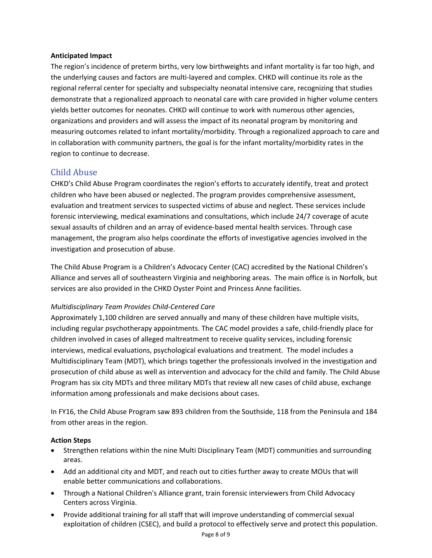#### **Anticipated Impact**

The region's incidence of preterm births, very low birthweights and infant mortality is far too high, and the underlying causes and factors are multi‐layered and complex. CHKD will continue its role as the regional referral center for specialty and subspecialty neonatal intensive care, recognizing that studies demonstrate that a regionalized approach to neonatal care with care provided in higher volume centers yields better outcomes for neonates. CHKD will continue to work with numerous other agencies, organizations and providers and will assess the impact of its neonatal program by monitoring and measuring outcomes related to infant mortality/morbidity. Through a regionalized approach to care and in collaboration with community partners, the goal is for the infant mortality/morbidity rates in the region to continue to decrease.

#### Child Abuse

CHKD's Child Abuse Program coordinates the region's efforts to accurately identify, treat and protect children who have been abused or neglected. The program provides comprehensive assessment, evaluation and treatment services to suspected victims of abuse and neglect. These services include forensic interviewing, medical examinations and consultations, which include 24/7 coverage of acute sexual assaults of children and an array of evidence‐based mental health services. Through case management, the program also helps coordinate the efforts of investigative agencies involved in the investigation and prosecution of abuse.

The Child Abuse Program is a Children's Advocacy Center (CAC) accredited by the National Children's Alliance and serves all of southeastern Virginia and neighboring areas. The main office is in Norfolk, but services are also provided in the CHKD Oyster Point and Princess Anne facilities.

#### *Multidisciplinary Team Provides Child‐Centered Care*

Approximately 1,100 children are served annually and many of these children have multiple visits, including regular psychotherapy appointments. The CAC model provides a safe, child‐friendly place for children involved in cases of alleged maltreatment to receive quality services, including forensic interviews, medical evaluations, psychological evaluations and treatment. The model includes a Multidisciplinary Team (MDT), which brings together the professionals involved in the investigation and prosecution of child abuse as well as intervention and advocacy for the child and family. The Child Abuse Program has six city MDTs and three military MDTs that review all new cases of child abuse, exchange information among professionals and make decisions about cases.

In FY16, the Child Abuse Program saw 893 children from the Southside, 118 from the Peninsula and 184 from other areas in the region.

#### **Action Steps**

- Strengthen relations within the nine Multi Disciplinary Team (MDT) communities and surrounding areas.
- Add an additional city and MDT, and reach out to cities further away to create MOUs that will enable better communications and collaborations.
- Through a National Children's Alliance grant, train forensic interviewers from Child Advocacy Centers across Virginia.
- Provide additional training for all staff that will improve understanding of commercial sexual exploitation of children (CSEC), and build a protocol to effectively serve and protect this population.